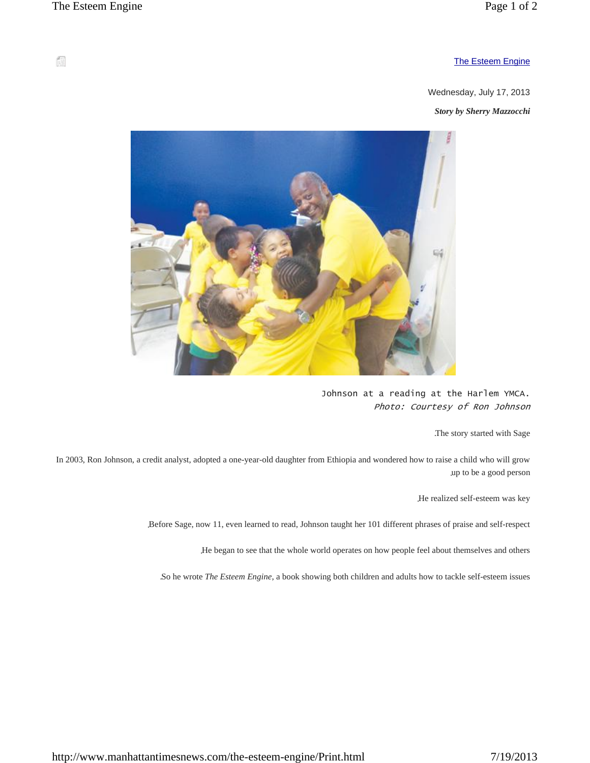## The Esteem Engine

Wednesday, July 17, 2013

*Story by Sherry Mazzocchi*



Johnson at a reading at the Harlem YMCA. *Photo: Courtesy of Ron Johnson*

.The story started with Sage

In 2003, Ron Johnson, a credit analyst, adopted a one-year-old daughter from Ethiopia and wondered how to raise a child who will grow .up to be a good person

.He realized self-esteem was key

.Before Sage, now 11, even learned to read, Johnson taught her 101 different phrases of praise and self-respect

.He began to see that the whole world operates on how people feel about themselves and others

.So he wrote *The Esteem Engine*, a book showing both children and adults how to tackle self-esteem issues